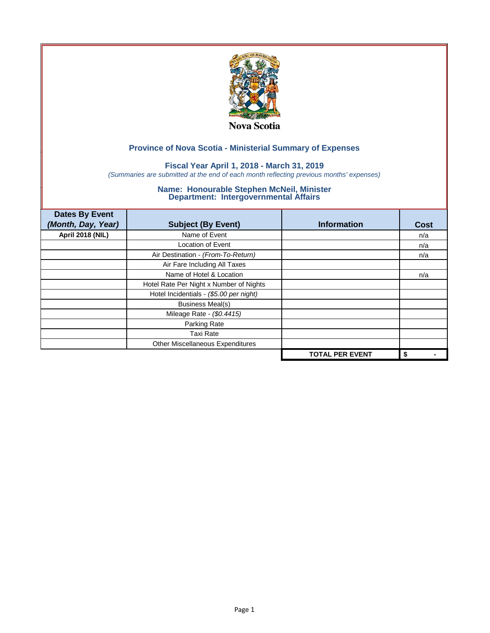

## **Fiscal Year April 1, 2018 - March 31, 2019**

*(Summaries are submitted at the end of each month reflecting previous months' expenses)*

| <b>Dates By Event</b><br>(Month, Day, Year) | <b>Subject (By Event)</b>               | <b>Information</b>     | <b>Cost</b> |
|---------------------------------------------|-----------------------------------------|------------------------|-------------|
| <b>April 2018 (NIL)</b>                     | Name of Event                           |                        | n/a         |
|                                             | <b>Location of Event</b>                |                        | n/a         |
|                                             | Air Destination - (From-To-Return)      |                        | n/a         |
|                                             | Air Fare Including All Taxes            |                        |             |
|                                             | Name of Hotel & Location                |                        | n/a         |
|                                             | Hotel Rate Per Night x Number of Nights |                        |             |
|                                             | Hotel Incidentials - (\$5.00 per night) |                        |             |
|                                             | <b>Business Meal(s)</b>                 |                        |             |
|                                             | Mileage Rate - (\$0.4415)               |                        |             |
|                                             | Parking Rate                            |                        |             |
|                                             | <b>Taxi Rate</b>                        |                        |             |
|                                             | Other Miscellaneous Expenditures        |                        |             |
|                                             |                                         | <b>TOTAL PER EVENT</b> | \$          |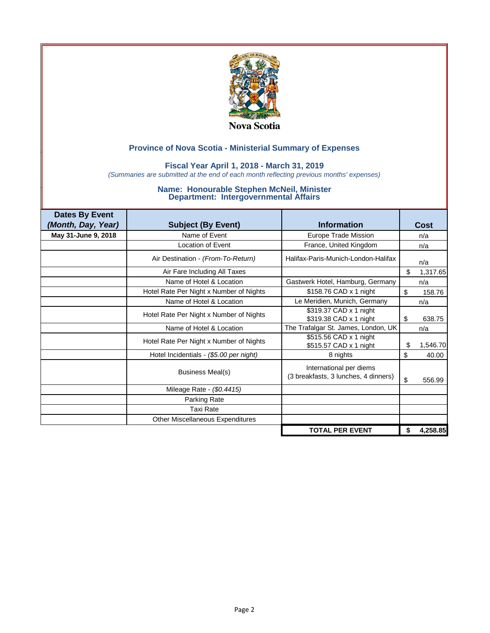

### **Fiscal Year April 1, 2018 - March 31, 2019**

*(Summaries are submitted at the end of each month reflecting previous months' expenses)*

| <b>Dates By Event</b> |                                         |                                                                 |    |          |
|-----------------------|-----------------------------------------|-----------------------------------------------------------------|----|----------|
| (Month, Day, Year)    | <b>Subject (By Event)</b>               | <b>Information</b>                                              |    | Cost     |
| May 31-June 9, 2018   | Name of Event                           | Europe Trade Mission                                            |    | n/a      |
|                       | <b>Location of Event</b>                | France, United Kingdom                                          |    | n/a      |
|                       | Air Destination - (From-To-Return)      | Halifax-Paris-Munich-London-Halifax                             |    | n/a      |
|                       | Air Fare Including All Taxes            |                                                                 | \$ | 1,317.65 |
|                       | Name of Hotel & Location                | Gastwerk Hotel, Hamburg, Germany                                |    | n/a      |
|                       | Hotel Rate Per Night x Number of Nights | \$158.76 CAD x 1 night                                          | \$ | 158.76   |
|                       | Name of Hotel & Location                | Le Meridien, Munich, Germany                                    |    | n/a      |
|                       | Hotel Rate Per Night x Number of Nights | \$319.37 CAD x 1 night<br>\$319.38 CAD x 1 night                | \$ | 638.75   |
|                       | Name of Hotel & Location                | The Trafalgar St. James, London, UK                             |    | n/a      |
|                       | Hotel Rate Per Night x Number of Nights | \$515.56 CAD x 1 night<br>\$515.57 CAD x 1 night                | S  | 1,546.70 |
|                       | Hotel Incidentials - (\$5.00 per night) | 8 nights                                                        | \$ | 40.00    |
|                       | Business Meal(s)                        | International per diems<br>(3 breakfasts, 3 lunches, 4 dinners) | \$ | 556.99   |
|                       | Mileage Rate - (\$0.4415)               |                                                                 |    |          |
|                       | Parking Rate                            |                                                                 |    |          |
|                       | <b>Taxi Rate</b>                        |                                                                 |    |          |
|                       | Other Miscellaneous Expenditures        |                                                                 |    |          |
|                       |                                         | <b>TOTAL PER EVENT</b>                                          | \$ | 4,258.85 |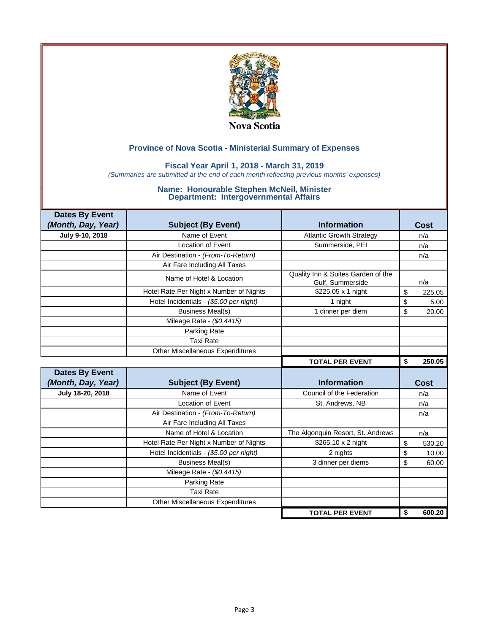

## **Fiscal Year April 1, 2018 - March 31, 2019**

*(Summaries are submitted at the end of each month reflecting previous months' expenses)*

| <b>Dates By Event</b> |                                         |                                                        |              |
|-----------------------|-----------------------------------------|--------------------------------------------------------|--------------|
| (Month, Day, Year)    | <b>Subject (By Event)</b>               | <b>Information</b>                                     | <b>Cost</b>  |
| July 9-10, 2018       | Name of Event                           | <b>Atlantic Growth Strategy</b>                        | n/a          |
|                       | Location of Event                       | Summerside, PEI                                        | n/a          |
|                       | Air Destination - (From-To-Return)      |                                                        | n/a          |
|                       | Air Fare Including All Taxes            |                                                        |              |
|                       | Name of Hotel & Location                | Quality Inn & Suites Garden of the<br>Gulf, Summerside | n/a          |
|                       | Hotel Rate Per Night x Number of Nights | \$225.05 x 1 night                                     | \$<br>225.05 |
|                       | Hotel Incidentials - (\$5.00 per night) | 1 night                                                | \$<br>5.00   |
|                       | <b>Business Meal(s)</b>                 | 1 dinner per diem                                      | \$<br>20.00  |
|                       | Mileage Rate - (\$0.4415)               |                                                        |              |
|                       | Parking Rate                            |                                                        |              |
|                       | <b>Taxi Rate</b>                        |                                                        |              |
|                       | <b>Other Miscellaneous Expenditures</b> |                                                        |              |
|                       |                                         | <b>TOTAL PER EVENT</b>                                 | \$<br>250.05 |
|                       |                                         |                                                        |              |
| <b>Dates By Event</b> |                                         |                                                        |              |
| (Month, Day, Year)    | <b>Subject (By Event)</b>               | <b>Information</b>                                     | <b>Cost</b>  |
| July 18-20, 2018      | Name of Event                           | Council of the Federation                              | n/a          |
|                       | <b>Location of Event</b>                | St. Andrews, NB                                        | n/a          |
|                       | Air Destination - (From-To-Return)      |                                                        | n/a          |
|                       | Air Fare Including All Taxes            |                                                        |              |
|                       | Name of Hotel & Location                | The Algonquin Resort, St. Andrews                      | n/a          |
|                       | Hotel Rate Per Night x Number of Nights | \$265.10 x 2 night                                     | \$<br>530.20 |
|                       | Hotel Incidentials - (\$5.00 per night) | 2 nights                                               | \$<br>10.00  |
|                       | <b>Business Meal(s)</b>                 | 3 dinner per diems                                     | \$<br>60.00  |
|                       | Mileage Rate - (\$0.4415)               |                                                        |              |
|                       | Parking Rate                            |                                                        |              |
|                       | <b>Taxi Rate</b>                        |                                                        |              |
|                       | <b>Other Miscellaneous Expenditures</b> |                                                        |              |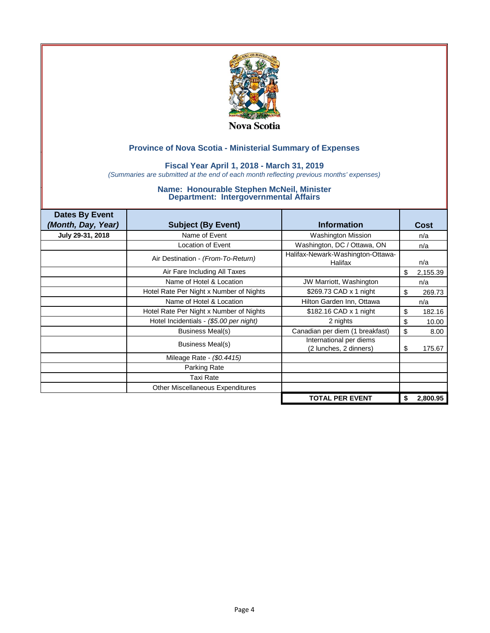

### **Fiscal Year April 1, 2018 - March 31, 2019**

*(Summaries are submitted at the end of each month reflecting previous months' expenses)*

| <b>Dates By Event</b> |                                         |                                                   |                |
|-----------------------|-----------------------------------------|---------------------------------------------------|----------------|
| (Month, Day, Year)    | <b>Subject (By Event)</b>               | <b>Information</b>                                | Cost           |
| July 29-31, 2018      | Name of Event                           | <b>Washington Mission</b>                         | n/a            |
|                       | <b>Location of Event</b>                | Washington, DC / Ottawa, ON                       | n/a            |
|                       | Air Destination - (From-To-Return)      | Halifax-Newark-Washington-Ottawa-<br>Halifax      | n/a            |
|                       | Air Fare Including All Taxes            |                                                   | \$<br>2,155.39 |
|                       | Name of Hotel & Location                | JW Marriott, Washington                           | n/a            |
|                       | Hotel Rate Per Night x Number of Nights | \$269.73 CAD x 1 night                            | \$<br>269.73   |
|                       | Name of Hotel & Location                | Hilton Garden Inn, Ottawa                         | n/a            |
|                       | Hotel Rate Per Night x Number of Nights | \$182.16 CAD x 1 night                            | \$<br>182.16   |
|                       | Hotel Incidentials - (\$5.00 per night) | 2 nights                                          | \$<br>10.00    |
|                       | <b>Business Meal(s)</b>                 | Canadian per diem (1 breakfast)                   | \$<br>8.00     |
|                       | Business Meal(s)                        | International per diems<br>(2 lunches, 2 dinners) | \$<br>175.67   |
|                       | Mileage Rate - (\$0.4415)               |                                                   |                |
|                       | Parking Rate                            |                                                   |                |
|                       | <b>Taxi Rate</b>                        |                                                   |                |
|                       | Other Miscellaneous Expenditures        |                                                   |                |
|                       |                                         | <b>TOTAL PER EVENT</b>                            | \$<br>2,800.95 |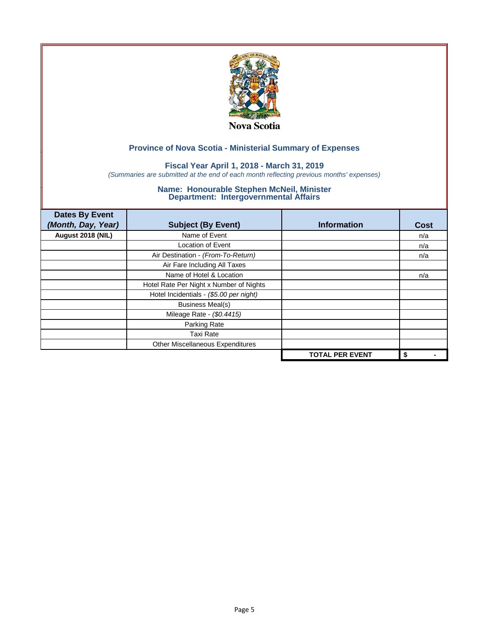

## **Fiscal Year April 1, 2018 - March 31, 2019**

*(Summaries are submitted at the end of each month reflecting previous months' expenses)*

| <b>Dates By Event</b><br>(Month, Day, Year) | <b>Subject (By Event)</b>               | <b>Information</b>     | <b>Cost</b> |
|---------------------------------------------|-----------------------------------------|------------------------|-------------|
| August 2018 (NIL)                           | Name of Event                           |                        | n/a         |
|                                             | <b>Location of Event</b>                |                        | n/a         |
|                                             | Air Destination - (From-To-Return)      |                        | n/a         |
|                                             | Air Fare Including All Taxes            |                        |             |
|                                             | Name of Hotel & Location                |                        | n/a         |
|                                             | Hotel Rate Per Night x Number of Nights |                        |             |
|                                             | Hotel Incidentials - (\$5.00 per night) |                        |             |
|                                             | <b>Business Meal(s)</b>                 |                        |             |
|                                             | Mileage Rate - (\$0.4415)               |                        |             |
|                                             | Parking Rate                            |                        |             |
|                                             | <b>Taxi Rate</b>                        |                        |             |
|                                             | Other Miscellaneous Expenditures        |                        |             |
|                                             |                                         | <b>TOTAL PER EVENT</b> | \$          |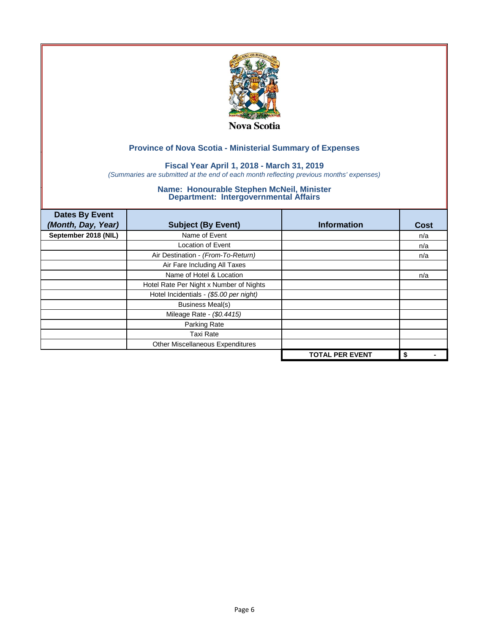

## **Fiscal Year April 1, 2018 - March 31, 2019**

*(Summaries are submitted at the end of each month reflecting previous months' expenses)*

| <b>Dates By Event</b><br>(Month, Day, Year) | <b>Subject (By Event)</b>               | <b>Information</b>     | <b>Cost</b> |
|---------------------------------------------|-----------------------------------------|------------------------|-------------|
| September 2018 (NIL)                        | Name of Event                           |                        | n/a         |
|                                             | <b>Location of Event</b>                |                        | n/a         |
|                                             | Air Destination - (From-To-Return)      |                        | n/a         |
|                                             | Air Fare Including All Taxes            |                        |             |
|                                             | Name of Hotel & Location                |                        | n/a         |
|                                             | Hotel Rate Per Night x Number of Nights |                        |             |
|                                             | Hotel Incidentials - (\$5.00 per night) |                        |             |
|                                             | <b>Business Meal(s)</b>                 |                        |             |
|                                             | Mileage Rate - (\$0.4415)               |                        |             |
|                                             | Parking Rate                            |                        |             |
|                                             | <b>Taxi Rate</b>                        |                        |             |
|                                             | Other Miscellaneous Expenditures        |                        |             |
|                                             |                                         | <b>TOTAL PER EVENT</b> | \$          |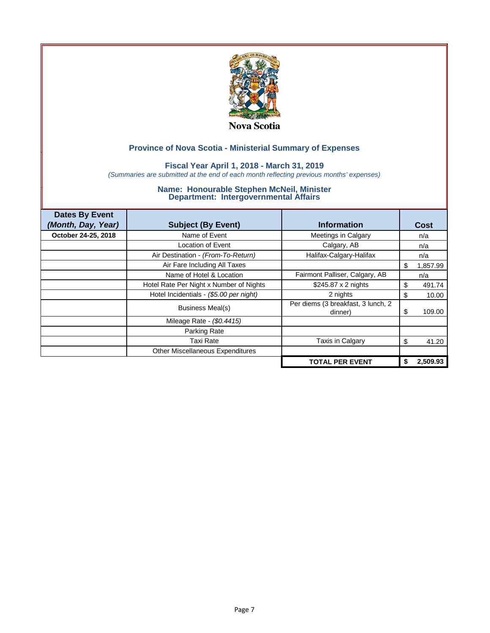

## **Fiscal Year April 1, 2018 - March 31, 2019**

*(Summaries are submitted at the end of each month reflecting previous months' expenses)*

| <b>Dates By Event</b> |                                         |                                               |               |
|-----------------------|-----------------------------------------|-----------------------------------------------|---------------|
| (Month, Day, Year)    | <b>Subject (By Event)</b>               | <b>Information</b>                            | Cost          |
| October 24-25, 2018   | Name of Event                           | Meetings in Calgary                           | n/a           |
|                       | Location of Event                       | Calgary, AB                                   | n/a           |
|                       | Air Destination - (From-To-Return)      | Halifax-Calgary-Halifax                       | n/a           |
|                       | Air Fare Including All Taxes            |                                               | 1,857.99<br>S |
|                       | Name of Hotel & Location                | Fairmont Palliser, Calgary, AB                | n/a           |
|                       | Hotel Rate Per Night x Number of Nights | \$245.87 x 2 nights                           | S<br>491.74   |
|                       | Hotel Incidentials - (\$5.00 per night) | 2 nights                                      | \$<br>10.00   |
|                       | Business Meal(s)                        | Per diems (3 breakfast, 3 lunch, 2<br>dinner) | 109.00<br>S   |
|                       | Mileage Rate - (\$0.4415)               |                                               |               |
|                       | Parking Rate                            |                                               |               |
|                       | Taxi Rate                               | Taxis in Calgary                              | \$<br>41.20   |
|                       | Other Miscellaneous Expenditures        |                                               |               |
|                       |                                         | <b>TOTAL PER EVENT</b>                        | 2.509.93      |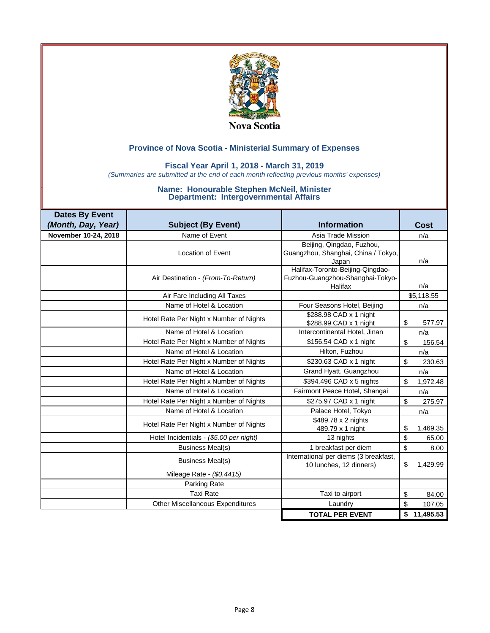

### **Fiscal Year April 1, 2018 - March 31, 2019**

*(Summaries are submitted at the end of each month reflecting previous months' expenses)*

| <b>Dates By Event</b> |                                         |                                                                                 |                          |
|-----------------------|-----------------------------------------|---------------------------------------------------------------------------------|--------------------------|
| (Month, Day, Year)    | <b>Subject (By Event)</b>               | <b>Information</b>                                                              | Cost                     |
| November 10-24, 2018  | Name of Event                           | Asia Trade Mission                                                              | n/a                      |
|                       | <b>Location of Event</b>                | Beijing, Qingdao, Fuzhou,<br>Guangzhou, Shanghai, China / Tokyo,<br>Japan       | n/a                      |
|                       | Air Destination - (From-To-Return)      | Halifax-Toronto-Beijing-Qingdao-<br>Fuzhou-Guangzhou-Shanghai-Tokyo-<br>Halifax | n/a                      |
|                       | Air Fare Including All Taxes            |                                                                                 | \$5,118.55               |
|                       | Name of Hotel & Location                | Four Seasons Hotel, Beijing                                                     | n/a                      |
|                       | Hotel Rate Per Night x Number of Nights | \$288.98 CAD x 1 night<br>\$288.99 CAD x 1 night                                | \$<br>577.97             |
|                       | Name of Hotel & Location                | Intercontinental Hotel, Jinan                                                   | n/a                      |
|                       | Hotel Rate Per Night x Number of Nights | \$156.54 CAD x 1 night                                                          | $\mathfrak{s}$<br>156.54 |
|                       | Name of Hotel & Location                | Hilton, Fuzhou                                                                  | n/a                      |
|                       | Hotel Rate Per Night x Number of Nights | \$230.63 CAD x 1 night                                                          | \$<br>230.63             |
|                       | Name of Hotel & Location                | Grand Hyatt, Guangzhou                                                          | n/a                      |
|                       | Hotel Rate Per Night x Number of Nights | \$394.496 CAD x 5 nights                                                        | \$<br>1,972.48           |
|                       | Name of Hotel & Location                | Fairmont Peace Hotel, Shangai                                                   | n/a                      |
|                       | Hotel Rate Per Night x Number of Nights | \$275.97 CAD x 1 night                                                          | \$<br>275.97             |
|                       | Name of Hotel & Location                | Palace Hotel, Tokyo                                                             | n/a                      |
|                       | Hotel Rate Per Night x Number of Nights | \$489.78 x 2 nights<br>489.79 x 1 night                                         | \$<br>1,469.35           |
|                       | Hotel Incidentials - (\$5.00 per night) | 13 nights                                                                       | \$<br>65.00              |
|                       | <b>Business Meal(s)</b>                 | 1 breakfast per diem                                                            | \$<br>8.00               |
|                       | <b>Business Meal(s)</b>                 | International per diems (3 breakfast,<br>10 lunches, 12 dinners)                | \$<br>1,429.99           |
|                       | Mileage Rate - (\$0.4415)               |                                                                                 |                          |
|                       | Parking Rate                            |                                                                                 |                          |
|                       | <b>Taxi Rate</b>                        | Taxi to airport                                                                 | \$<br>84.00              |
|                       | <b>Other Miscellaneous Expenditures</b> | Laundry                                                                         | \$<br>107.05             |
|                       |                                         | <b>TOTAL PER EVENT</b>                                                          | \$<br>11,495.53          |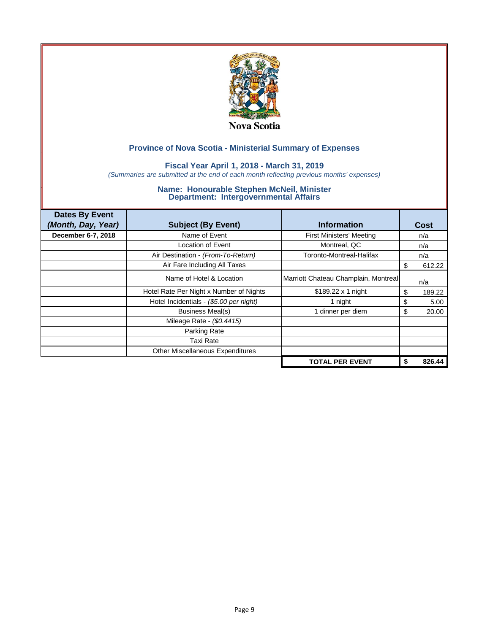

## **Fiscal Year April 1, 2018 - March 31, 2019**

*(Summaries are submitted at the end of each month reflecting previous months' expenses)*

| <b>Dates By Event</b> |                                         |                                      |              |
|-----------------------|-----------------------------------------|--------------------------------------|--------------|
| (Month, Day, Year)    | <b>Subject (By Event)</b>               | <b>Information</b>                   | Cost         |
| December 6-7, 2018    | Name of Event                           | <b>First Ministers' Meeting</b>      | n/a          |
|                       | Location of Event                       | Montreal, QC                         | n/a          |
|                       | Air Destination - (From-To-Return)      | Toronto-Montreal-Halifax             | n/a          |
|                       | Air Fare Including All Taxes            |                                      | 612.22       |
|                       | Name of Hotel & Location                | Marriott Chateau Champlain, Montreal | n/a          |
|                       | Hotel Rate Per Night x Number of Nights | $$189.22 \times 1$ night             | 189.22<br>\$ |
|                       | Hotel Incidentials - (\$5.00 per night) | 1 night                              | \$<br>5.00   |
|                       | <b>Business Meal(s)</b>                 | dinner per diem                      | 20.00<br>\$  |
|                       | Mileage Rate - (\$0.4415)               |                                      |              |
|                       | Parking Rate                            |                                      |              |
|                       | Taxi Rate                               |                                      |              |
|                       | Other Miscellaneous Expenditures        |                                      |              |
|                       |                                         | <b>TOTAL PER EVENT</b>               | 826.44       |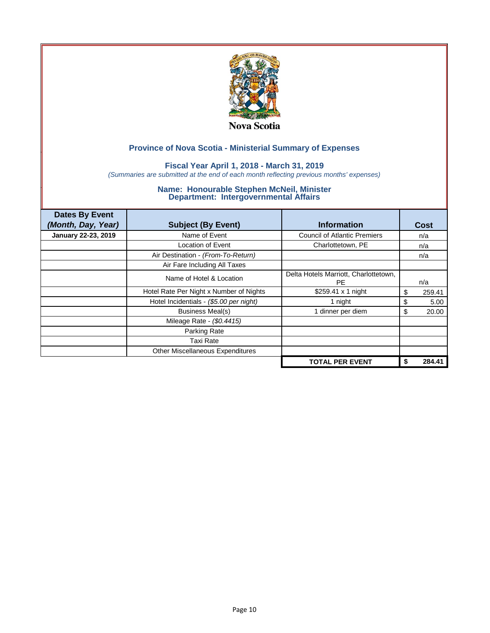

## **Fiscal Year April 1, 2018 - March 31, 2019**

*(Summaries are submitted at the end of each month reflecting previous months' expenses)*

| <b>Dates By Event</b> |                                         |                                                    |              |
|-----------------------|-----------------------------------------|----------------------------------------------------|--------------|
| (Month, Day, Year)    | <b>Subject (By Event)</b>               | <b>Information</b>                                 | Cost         |
| January 22-23, 2019   | Name of Event                           | <b>Council of Atlantic Premiers</b>                | n/a          |
|                       | Location of Event                       | Charlottetown, PE                                  | n/a          |
|                       | Air Destination - (From-To-Return)      |                                                    | n/a          |
|                       | Air Fare Including All Taxes            |                                                    |              |
|                       | Name of Hotel & Location                | Delta Hotels Marriott, Charlottetown,<br><b>PE</b> | n/a          |
|                       | Hotel Rate Per Night x Number of Nights | \$259.41 $\times$ 1 night                          | \$<br>259.41 |
|                       | Hotel Incidentials - (\$5.00 per night) | 1 night                                            | \$<br>5.00   |
|                       | <b>Business Meal(s)</b>                 | dinner per diem                                    | 20.00<br>\$  |
|                       | Mileage Rate - (\$0.4415)               |                                                    |              |
|                       | Parking Rate                            |                                                    |              |
|                       | Taxi Rate                               |                                                    |              |
|                       | Other Miscellaneous Expenditures        |                                                    |              |
|                       |                                         | <b>TOTAL PER EVENT</b>                             | 284.41       |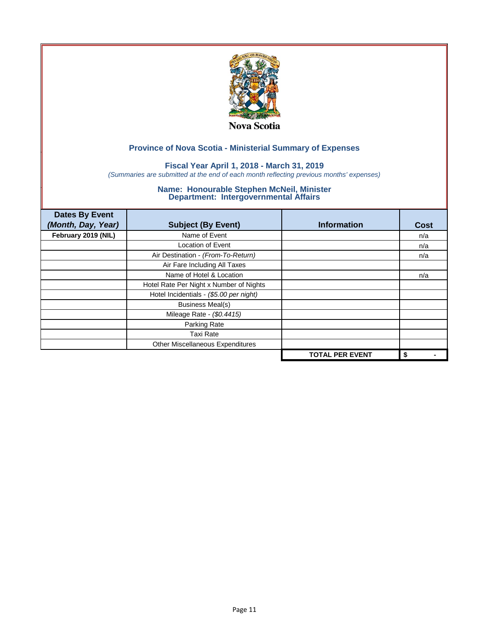

## **Fiscal Year April 1, 2018 - March 31, 2019**

*(Summaries are submitted at the end of each month reflecting previous months' expenses)*

| <b>Dates By Event</b><br>(Month, Day, Year) | <b>Subject (By Event)</b>               | <b>Information</b>     | <b>Cost</b> |
|---------------------------------------------|-----------------------------------------|------------------------|-------------|
| February 2019 (NIL)                         | Name of Event                           |                        | n/a         |
|                                             | <b>Location of Event</b>                |                        | n/a         |
|                                             | Air Destination - (From-To-Return)      |                        | n/a         |
|                                             | Air Fare Including All Taxes            |                        |             |
|                                             | Name of Hotel & Location                |                        | n/a         |
|                                             | Hotel Rate Per Night x Number of Nights |                        |             |
|                                             | Hotel Incidentials - (\$5.00 per night) |                        |             |
|                                             | <b>Business Meal(s)</b>                 |                        |             |
|                                             | Mileage Rate - (\$0.4415)               |                        |             |
|                                             | Parking Rate                            |                        |             |
|                                             | <b>Taxi Rate</b>                        |                        |             |
|                                             | Other Miscellaneous Expenditures        |                        |             |
|                                             |                                         | <b>TOTAL PER EVENT</b> | \$          |